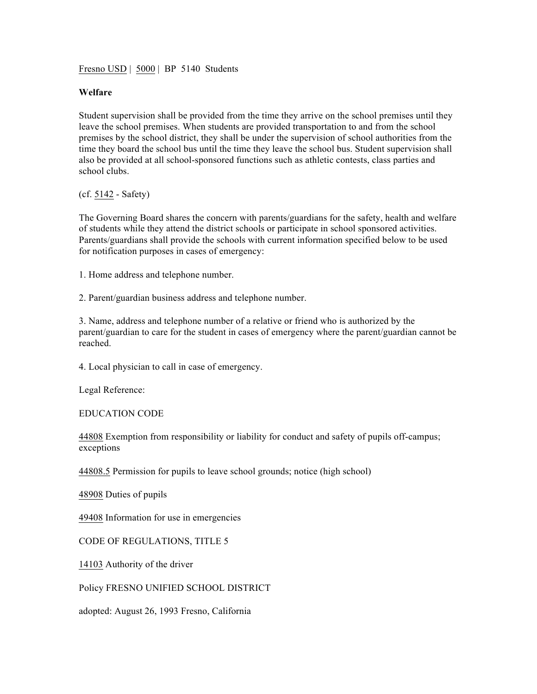Fresno USD | 5000 | BP 5140 Students

## **Welfare**

Student supervision shall be provided from the time they arrive on the school premises until they leave the school premises. When students are provided transportation to and from the school premises by the school district, they shall be under the supervision of school authorities from the time they board the school bus until the time they leave the school bus. Student supervision shall also be provided at all school-sponsored functions such as athletic contests, class parties and school clubs.

(cf. 5142 - Safety)

The Governing Board shares the concern with parents/guardians for the safety, health and welfare of students while they attend the district schools or participate in school sponsored activities. Parents/guardians shall provide the schools with current information specified below to be used for notification purposes in cases of emergency:

1. Home address and telephone number.

2. Parent/guardian business address and telephone number.

3. Name, address and telephone number of a relative or friend who is authorized by the parent/guardian to care for the student in cases of emergency where the parent/guardian cannot be reached.

4. Local physician to call in case of emergency.

Legal Reference:

EDUCATION CODE

44808 Exemption from responsibility or liability for conduct and safety of pupils off-campus; exceptions

44808.5 Permission for pupils to leave school grounds; notice (high school)

48908 Duties of pupils

49408 Information for use in emergencies

CODE OF REGULATIONS, TITLE 5

14103 Authority of the driver

Policy FRESNO UNIFIED SCHOOL DISTRICT

adopted: August 26, 1993 Fresno, California